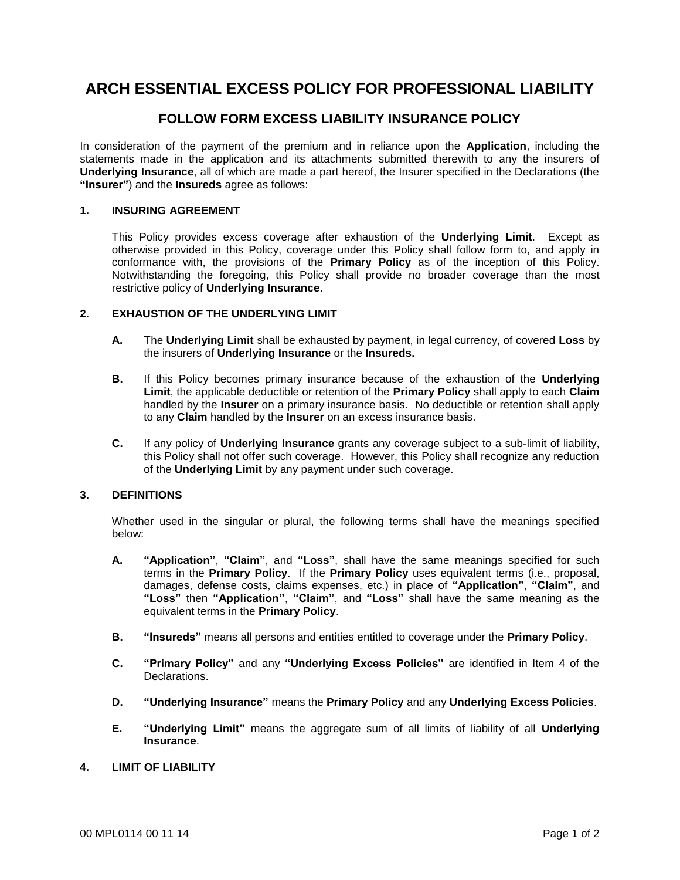# **ARCH ESSENTIAL EXCESS POLICY FOR PROFESSIONAL LIABILITY**

## **FOLLOW FORM EXCESS LIABILITY INSURANCE POLICY**

In consideration of the payment of the premium and in reliance upon the **Application**, including the statements made in the application and its attachments submitted therewith to any the insurers of **Underlying Insurance**, all of which are made a part hereof, the Insurer specified in the Declarations (the **"Insurer"**) and the **Insureds** agree as follows:

#### **1. INSURING AGREEMENT**

This Policy provides excess coverage after exhaustion of the **Underlying Limit**. Except as otherwise provided in this Policy, coverage under this Policy shall follow form to, and apply in conformance with, the provisions of the **Primary Policy** as of the inception of this Policy. Notwithstanding the foregoing, this Policy shall provide no broader coverage than the most restrictive policy of **Underlying Insurance**.

#### **2. EXHAUSTION OF THE UNDERLYING LIMIT**

- **A.** The **Underlying Limit** shall be exhausted by payment, in legal currency, of covered **Loss** by the insurers of **Underlying Insurance** or the **Insureds.**
- **B.** If this Policy becomes primary insurance because of the exhaustion of the **Underlying Limit**, the applicable deductible or retention of the **Primary Policy** shall apply to each **Claim** handled by the **Insurer** on a primary insurance basis. No deductible or retention shall apply to any **Claim** handled by the **Insurer** on an excess insurance basis.
- **C.** If any policy of **Underlying Insurance** grants any coverage subject to a sub-limit of liability, this Policy shall not offer such coverage. However, this Policy shall recognize any reduction of the **Underlying Limit** by any payment under such coverage.

#### **3. DEFINITIONS**

Whether used in the singular or plural, the following terms shall have the meanings specified below:

- **A. "Application"**, **"Claim"**, and **"Loss"**, shall have the same meanings specified for such terms in the **Primary Policy**. If the **Primary Policy** uses equivalent terms (i.e., proposal, damages, defense costs, claims expenses, etc.) in place of **"Application"**, **"Claim"**, and **"Loss"** then **"Application"**, **"Claim"**, and **"Loss"** shall have the same meaning as the equivalent terms in the **Primary Policy**.
- **B. "Insureds"** means all persons and entities entitled to coverage under the **Primary Policy**.
- **C. "Primary Policy"** and any **"Underlying Excess Policies"** are identified in Item 4 of the **Declarations**
- **D. "Underlying Insurance"** means the **Primary Policy** and any **Underlying Excess Policies**.
- **E. "Underlying Limit"** means the aggregate sum of all limits of liability of all **Underlying Insurance**.

#### **4. LIMIT OF LIABILITY**